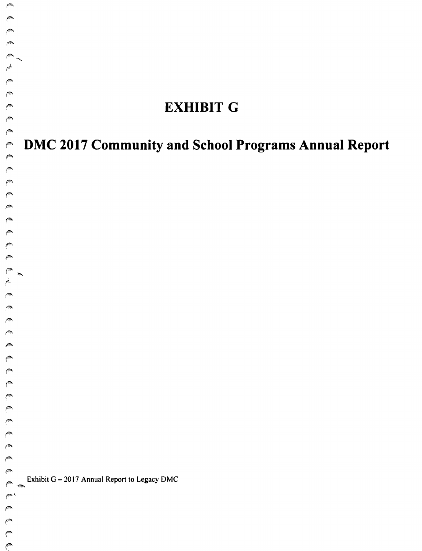# **EXHIBIT G**

# *("* **DMC 2017 Community and School Programs Annual Report**

Exhibit G - 2017 Annual Report to Legacy DMC

 $\curvearrowright$ *("-*

 $\rho^{\otimes n}$  $\mathbb{C}$  $\mathbb{C}$  $\mathbb{C}$  $\epsilon$ 

 $\curvearrowright$ 

*("- ('"'*   $\sim$ *(",* 

~"

 $\curvearrowright$  $\sim$  $\sqrt{2}$  $\sqrt{2}$ 

*("*  $\binom{2}{3}$ *(A*   $\binom{2}{1}$ *(A f""* 

 $\int_{-\infty}^\infty$  $\curvearrowright$ *("*   $\curvearrowright$ *("* 

 $\mathbb{Z}$  'n  $\mathbb{Z}$  $($   $\sim$   $\prime$ *(" (A*   $($  $($   $\heartsuit$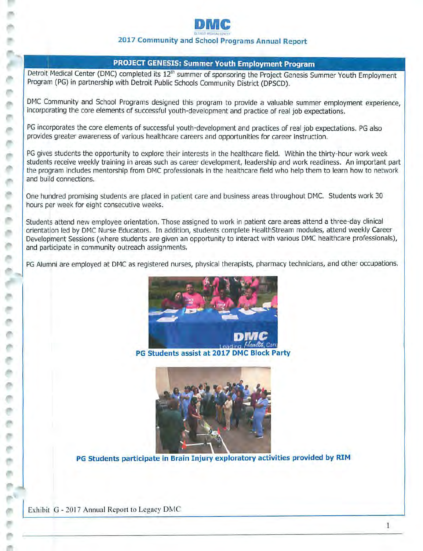

# **2017 Community and School Programs Annual Report**

# **PROJECT GENESIS: Summer Youth Employment Program**

Detroit Medical Center (DMC) completed its 12<sup>th</sup> summer of sponsoring the Project Genesis Summer Youth Employment Program (PG) in partnership with Detroit Public Schools Community District (DPSCD).

DMC Community and School Programs designed this program to provide a valuable summer employment experience, incorporating the core elements of successful youth-development and practice of real job expectations.

PG incorporates the core elements of successful youth-development and practices of real job expectations. PG also provides greater awareness of various healthcare careers and opportunities for career instruction.

PG gives students the opportunity to explore their interests in the healthcare field. Within the thirty-hour work week students receive weekly training in areas such as career development, leadership and work readiness. An important part the program includes mentorship from DMC professionals in the healthcare field who help them to learn how to network and build connections.

One hundred promising students are placed in patient care and business areas throughout DMC. Students work 30 hours per week for eight consecutive weeks.

Students attend new employee orientation. Those assigned to work in patient care areas attend a three-day clinical orientation led by DMC Nurse Educators. In addition, students complete HealthStream modules, attend weekly Career Development Sessions (where students are given an opportunity to interact with various DMC healthcare professionals), and participate in community outreach assignments.

PG Alumni are employed at DMC as registered nurses, physical therapists, pharmacy technicians, and other occupations.



**PG Students assist at 2017 DMC Block Party** 



**PG Students participate in Brain Injury exploratory activities provided by RIM** 

Exhibit G - 2017 Annual Report to Legacy DMC

e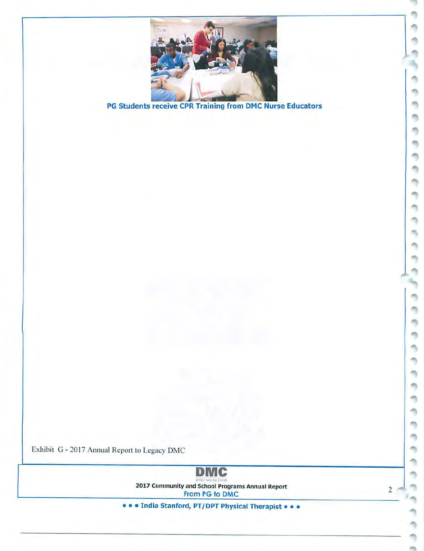

PG Students receive CPR Training from DMC Nurse Educators



Exhibit G - 2017 Annual Report 10 Legacy DMC

**DMC**  chie and the circums<br>2017 Community and School Programs Annual Report From PG to DMC

2

۵ħ m m ٠ m m ö m n, n

ń, ń,

m,

۹ a, O € n, m ۹ ٩

m

• • • India Stanford, PT/DPT Physical Therapist • • •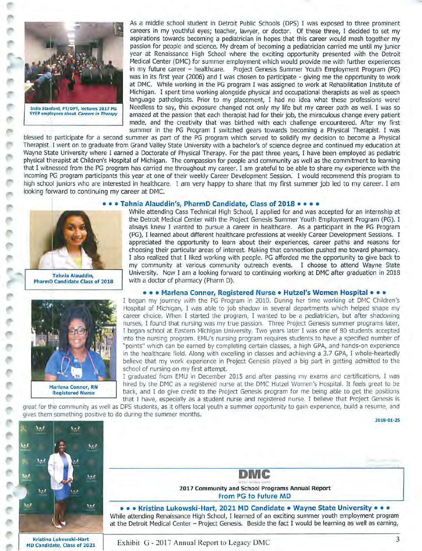

As a middle school student in Detroit Public Schools (DPS) I was exposed to three prominent careers in my youthful eyes; teacher, lawyer, or doctor. Of these three, I decided to set my aspirations towards becoming a pediatrician in hopes that this career would mesh together my passion for people and science. My dream of becoming a pediatrician carried me until my junior year at Renaissance High School where the exciting opportunity presented with the Detroit Medical Center (DMC) for summer employment which would provide me with further experiences in my future career - healthcare. Project Genesis Summer Youth Employment Program (PG) was in its first year (2006) and I was chosen to participate - giving me the opportunity to work at DMC. While working in the PG program I was assigned to work at Rehabilitation Institute of Michigan. I spent time working alongside physical and occupational therapists as well as speech language pathologists. Prior to my placement, I had no idea what these professions were! India Stanford, PT/DPT, lectures 2017 PG **Needless to say, this exposure changed not only** my life but my career path as well. I was so SYEP employees about *Careers in Therapy* amazed at the passion that each therapist ha amazed at the passion that each therapist had for their job, the miraculous change every patient made, and the creativity that was birthed with each challenge encountered. After my first summer in the PG Program I switched gears towards becoming a Physical Therapist. I was

blessed to participate for a second summer as part of the PG program which served to solidify my decision to become a Physical Therapist. I went on to graduate from Grand Valley State University with a bachelor's of science degree and continued my education at Wayne State University where I earned a Doctorate of Physical Therapy. For the past three years, I have been employed as pediatric physical therapist at Children's Hospital of Michigan. The compassion for people and community as well as the commitment to learning that I witnessed from the PG program has carried me throughout my career. I am grateful to be able to share my experience with the incoming PG program participants this year at one of their weekly Career Development Session. I would recommend this program to high school juniors who are interested in healthcare. I am very happy to share that my first summer job led to my career. I am looking forward to continuing my career at DMC.

#### • • • **Tahnia Alauddin's, PharmD Candidate, Class of 2018** • • • •





While attending Cass Technical High School, I applied for and was accepted for an internship at the Detroit Medical Center with the Project Genesis Summer Youth Employment Program {PG). I always knew I wanted to pursue a career in healthcare. As a participant in the PG Program (PG), I learned about different healthcare professions at weekly Career Development Sessions. I appreciated the opportunity to learn about their experiences, career paths and reasons for choosing their particular areas of interest. Making that connection pushed me toward pharmacy. I also realized that I liked working with people. PG afforded me the opportunity to give back to my community at various community outreach events. I choose to attend Wayne State Tahnia Alauddin, University. Now I am a looking forward to continuing working at DMC after graduation in 2018<br>**PharmD Candidate Class of 2018** with a doctor of pharmacy (Pharm D). with a doctor of pharmacy (Pharm D).

## • • • **Marlena Connor, Registered Nurse** • **Hutzel's Women Hospital** • • •

I began my journey with the PG Program in 2010. During her time working at DMC Children's Hospital of Michigan, I was able to job shadow in several departments which helped shape my career choice. When I started the program, I wanted to be a pediatrician, but after shadowing nurses, I found that nursing was my true passion. Three Project Genesis summer programs later, I began school at Eastern Michigan University. Two years later I was one of 80 students accepted into the nursing program. EMU's nursing program requires students to have a specified number of "points" which can be earned by completing certain classes, a high GPA, and hands-on experience in the healthcare field. Along with excelling in classes and achieving a 3.7 GPA, I whole-heartedly believe that my work experience in Project Genesis played a big part in getting admitted to the school of nursing on my first attempt.

1 graduated from EMU in December 2015 and after passing my exams and certifications, I was hired by the DMC as a registered nurse at the DMC Hutzel Women's Hospital. It feels great to be back, and I do give credit to the Project Genesis program for me being able to get the positions that I have, especially as a student nurse and registered nurse. I believe that Project Genesis is

**DMC**  2017 Community and School Programs Annual Report From PG to Future MD • • • **Kristina Lukowski-Hart, 20 21 MD Candidate** • **Wayne State University•** • • While attending Renaissance High School, I learned of an exciting summer youth employment program at the Detroit Medical Center - Project Genesis. Beside the fact I would be learning as well as earning,

great for the community as well as DPS students, as it offers local youth a summer opportunity to gain experience, build a resume, and gives them something positive to do during the summer months.

**2018-01-25** 



Kristina Lukowski-Hart MD Candidate, Class of 2021 Exhibit G - 2017 Annual Report to Legacy DMC 3